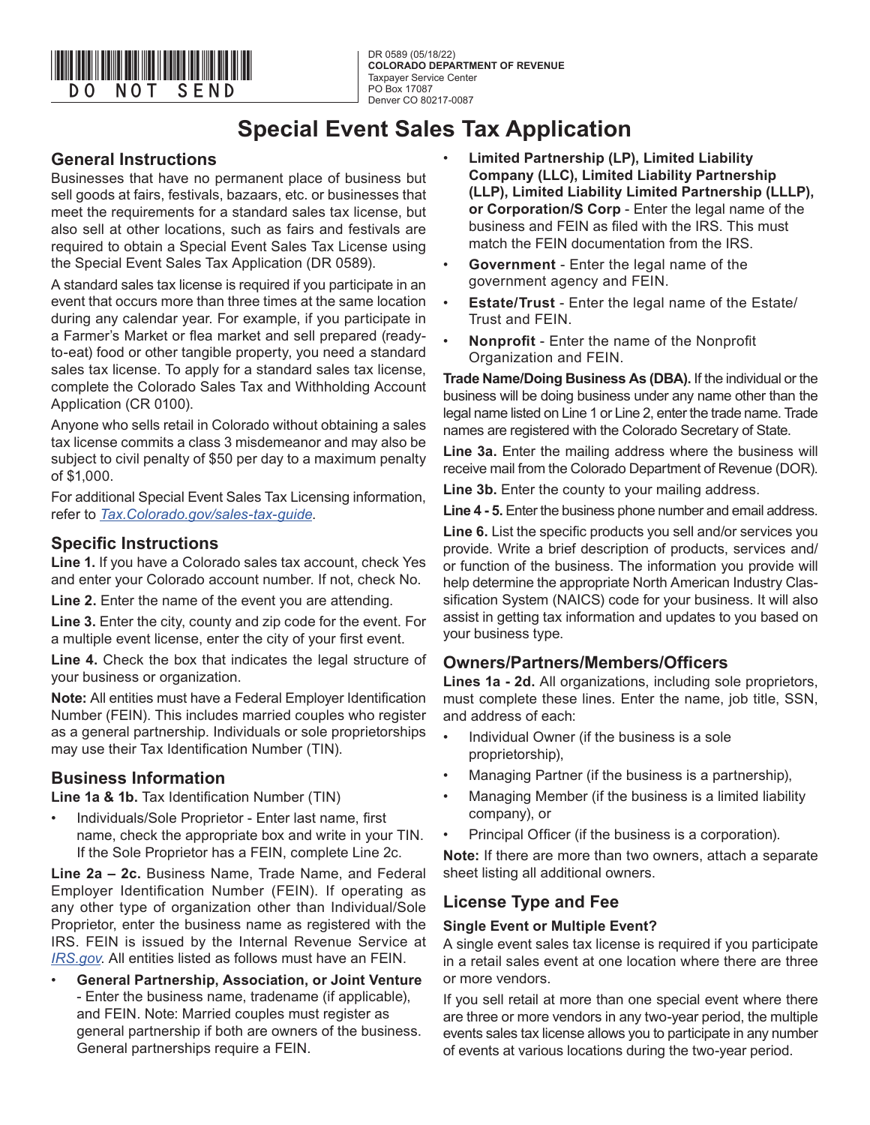

DR 0589 (05/18/22) **COLORADO DEPARTMENT OF REVENUE** Taxpayer Service Center PO Box 17087 Denver CO 80217-0087

## **Special Event Sales Tax Application**

### **General Instructions**

Businesses that have no permanent place of business but sell goods at fairs, festivals, bazaars, etc. or businesses that meet the requirements for a standard sales tax license, but also sell at other locations, such as fairs and festivals are required to obtain a Special Event Sales Tax License using the Special Event Sales Tax Application (DR 0589).

A standard sales tax license is required if you participate in an event that occurs more than three times at the same location during any calendar year. For example, if you participate in a Farmer's Market or flea market and sell prepared (readyto-eat) food or other tangible property, you need a standard sales tax license. To apply for a standard sales tax license, complete the Colorado Sales Tax and Withholding Account Application (CR 0100).

Anyone who sells retail in Colorado without obtaining a sales tax license commits a class 3 misdemeanor and may also be subject to civil penalty of \$50 per day to a maximum penalty of \$1,000.

For additional Special Event Sales Tax Licensing information, refer to *[Tax.Colorado.gov/sales-tax-guide](http://Tax.Colorado.gov/sales-tax-guide)*.

### **Specific Instructions**

**Line 1.** If you have a Colorado sales tax account, check Yes and enter your Colorado account number. If not, check No.

Line 2. Enter the name of the event you are attending.

**Line 3.** Enter the city, county and zip code for the event. For a multiple event license, enter the city of your first event.

**Line 4.** Check the box that indicates the legal structure of your business or organization.

**Note:** All entities must have a Federal Employer Identification Number (FEIN). This includes married couples who register as a general partnership. Individuals or sole proprietorships may use their Tax Identification Number (TIN).

### **Business Information**

**Line 1a & 1b.** Tax Identification Number (TIN)

• Individuals/Sole Proprietor - Enter last name, first name, check the appropriate box and write in your TIN. If the Sole Proprietor has a FEIN, complete Line 2c.

**Line 2a – 2c.** Business Name, Trade Name, and Federal Employer Identification Number (FEIN). If operating as any other type of organization other than Individual/Sole Proprietor, enter the business name as registered with the IRS. FEIN is issued by the Internal Revenue Service at *[IRS.gov](http://Irs.gov)*. All entities listed as follows must have an FEIN.

• **General Partnership, Association, or Joint Venture** - Enter the business name, tradename (if applicable), and FEIN. Note: Married couples must register as general partnership if both are owners of the business. General partnerships require a FEIN.

- **Limited Partnership (LP), Limited Liability Company (LLC), Limited Liability Partnership (LLP), Limited Liability Limited Partnership (LLLP), or Corporation/S Corp** - Enter the legal name of the business and FEIN as filed with the IRS. This must match the FEIN documentation from the IRS.
- **Government** Enter the legal name of the government agency and FEIN.
- **Estate/Trust** Enter the legal name of the Estate/ Trust and FEIN.
- **Nonprofit** Enter the name of the Nonprofit Organization and FEIN.

**Trade Name/Doing Business As (DBA).** If the individual or the business will be doing business under any name other than the legal name listed on Line 1 or Line 2, enter the trade name. Trade names are registered with the Colorado Secretary of State.

**Line 3a.** Enter the mailing address where the business will receive mail from the Colorado Department of Revenue (DOR).

**Line 3b.** Enter the county to your mailing address.

**Line 4 - 5.** Enter the business phone number and email address.

**Line 6.** List the specific products you sell and/or services you provide. Write a brief description of products, services and/ or function of the business. The information you provide will help determine the appropriate North American Industry Classification System (NAICS) code for your business. It will also assist in getting tax information and updates to you based on your business type.

### **Owners/Partners/Members/Officers**

**Lines 1a - 2d.** All organizations, including sole proprietors, must complete these lines. Enter the name, job title, SSN, and address of each:

- Individual Owner (if the business is a sole proprietorship),
- Managing Partner (if the business is a partnership),
- Managing Member (if the business is a limited liability company), or
- Principal Officer (if the business is a corporation).

**Note:** If there are more than two owners, attach a separate sheet listing all additional owners.

### **License Type and Fee**

#### **Single Event or Multiple Event?**

A single event sales tax license is required if you participate in a retail sales event at one location where there are three or more vendors.

If you sell retail at more than one special event where there are three or more vendors in any two-year period, the multiple events sales tax license allows you to participate in any number of events at various locations during the two-year period.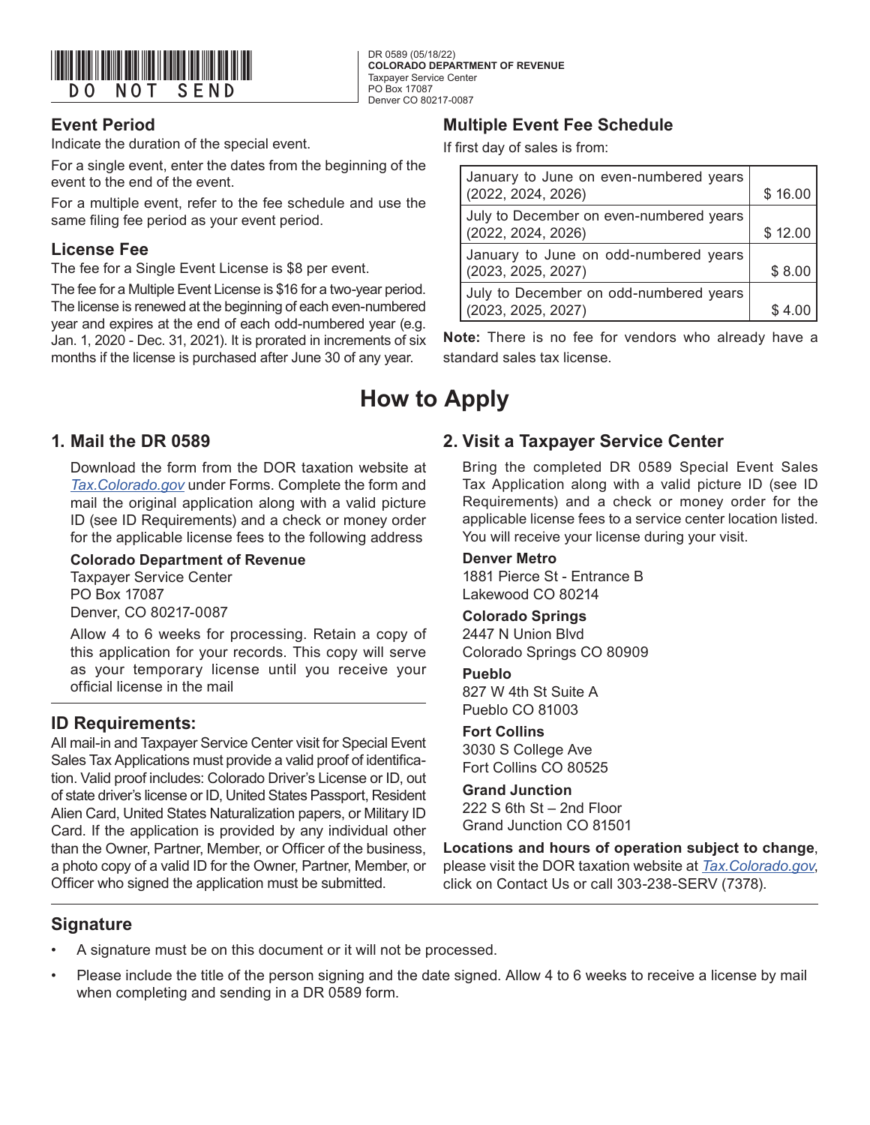

### **Event Period**

Indicate the duration of the special event.

For a single event, enter the dates from the beginning of the event to the end of the event.

For a multiple event, refer to the fee schedule and use the same filing fee period as your event period.

### **License Fee**

The fee for a Single Event License is \$8 per event.

The fee for a Multiple Event License is \$16 for a two-year period. The license is renewed at the beginning of each even-numbered year and expires at the end of each odd-numbered year (e.g. Jan. 1, 2020 - Dec. 31, 2021). It is prorated in increments of six months if the license is purchased after June 30 of any year.

## **1. Mail the DR 0589**

Download the form from the DOR taxation website at *[Tax.Colorado.gov](http://Tax.Colorado.gov)* under Forms. Complete the form and mail the original application along with a valid picture ID (see ID Requirements) and a check or money order for the applicable license fees to the following address

#### **Colorado Department of Revenue**

Taxpayer Service Center PO Box 17087 Denver, CO 80217-0087

Allow 4 to 6 weeks for processing. Retain a copy of this application for your records. This copy will serve as your temporary license until you receive your official license in the mail

### **ID Requirements:**

All mail-in and Taxpayer Service Center visit for Special Event Sales Tax Applications must provide a valid proof of identification. Valid proof includes: Colorado Driver's License or ID, out of state driver's license or ID, United States Passport, Resident Alien Card, United States Naturalization papers, or Military ID Card. If the application is provided by any individual other than the Owner, Partner, Member, or Officer of the business, a photo copy of a valid ID for the Owner, Partner, Member, or Officer who signed the application must be submitted.

### **Multiple Event Fee Schedule**

If first day of sales is from:

| January to June on even-numbered years<br>(2022, 2024, 2026)  | \$16.00 |
|---------------------------------------------------------------|---------|
| July to December on even-numbered years<br>(2022, 2024, 2026) | \$12.00 |
| January to June on odd-numbered years<br>(2023, 2025, 2027)   | \$8.00  |
| July to December on odd-numbered years<br>(2023, 2025, 2027)  | \$4.0   |

**Note:** There is no fee for vendors who already have a standard sales tax license.

## **How to Apply**

DR 0589 (05/18/22)

Taxpayer Service Center PO Box 17087 Denver CO 80217-0087

**COLORADO DEPARTMENT OF REVENUE**

### **2. Visit a Taxpayer Service Center**

Bring the completed DR 0589 Special Event Sales Tax Application along with a valid picture ID (see ID Requirements) and a check or money order for the applicable license fees to a service center location listed. You will receive your license during your visit.

#### **Denver Metro**

1881 Pierce St - Entrance B Lakewood CO 80214

#### **Colorado Springs**

2447 N Union Blvd Colorado Springs CO 80909

#### **Pueblo**

827 W 4th St Suite A Pueblo CO 81003

#### **Fort Collins**

3030 S College Ave Fort Collins CO 80525

#### **Grand Junction**

222 S 6th St – 2nd Floor Grand Junction CO 81501

**Locations and hours of operation subject to change**, please visit the DOR taxation website at *Tax.Colorado.gov*, click on Contact Us or call 303-238-SERV (7378).

### **Signature**

- A signature must be on this document or it will not be processed.
- Please include the title of the person signing and the date signed. Allow 4 to 6 weeks to receive a license by mail when completing and sending in a DR 0589 form.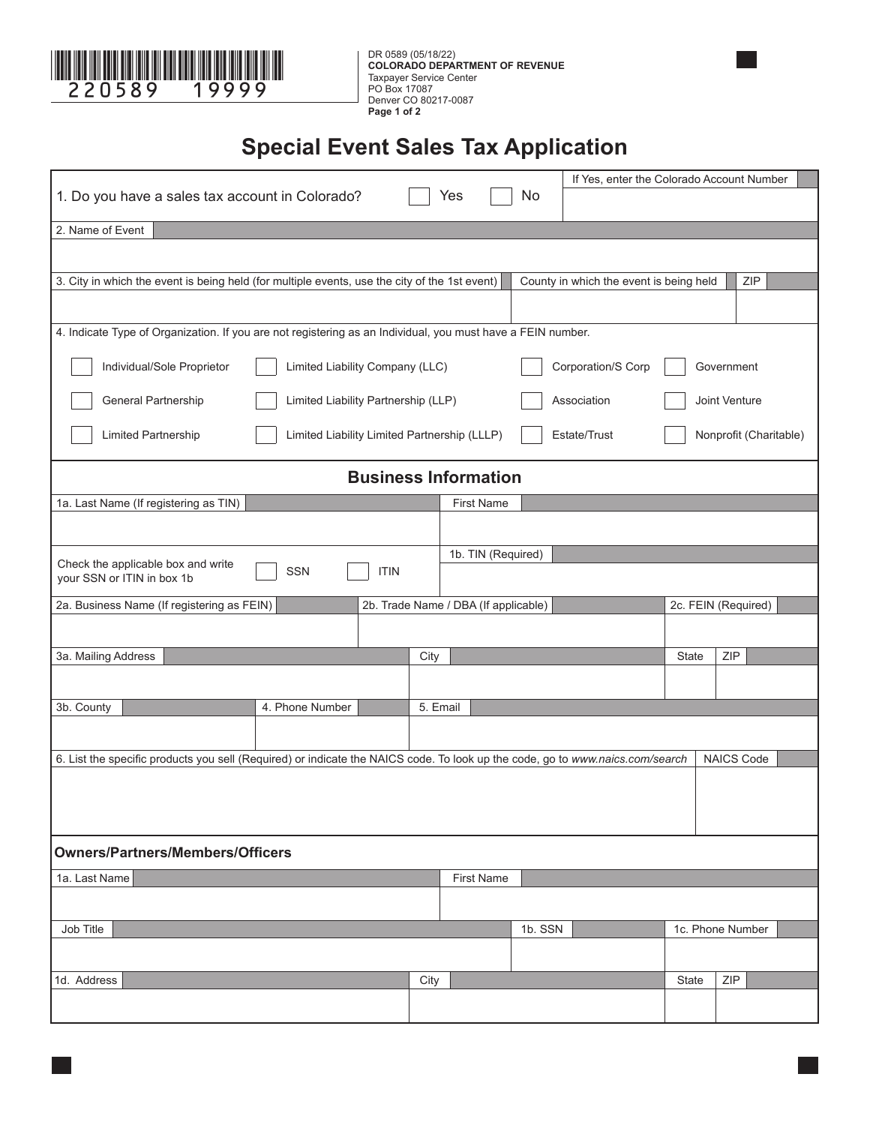

**COLORADO DEPARTMENT OF REVENUE** Taxpayer Service Center PO Box 17087 Denver CO 80217-0087 **Page 1 of 2**

# **Special Event Sales Tax Application**

|                                                                                                                               |                 |  |                             |                                  | If Yes, enter the Colorado Account Number      |              |                     |  |  |
|-------------------------------------------------------------------------------------------------------------------------------|-----------------|--|-----------------------------|----------------------------------|------------------------------------------------|--------------|---------------------|--|--|
| 1. Do you have a sales tax account in Colorado?                                                                               |                 |  | Yes                         | No                               |                                                |              |                     |  |  |
| 2. Name of Event                                                                                                              |                 |  |                             |                                  |                                                |              |                     |  |  |
|                                                                                                                               |                 |  |                             |                                  |                                                |              |                     |  |  |
|                                                                                                                               |                 |  |                             |                                  |                                                |              |                     |  |  |
| 3. City in which the event is being held (for multiple events, use the city of the 1st event)                                 |                 |  |                             |                                  | ZIP<br>County in which the event is being held |              |                     |  |  |
|                                                                                                                               |                 |  |                             |                                  |                                                |              |                     |  |  |
| 4. Indicate Type of Organization. If you are not registering as an Individual, you must have a FEIN number.                   |                 |  |                             |                                  |                                                |              |                     |  |  |
| Individual/Sole Proprietor<br>Limited Liability Company (LLC)                                                                 |                 |  |                             | Corporation/S Corp<br>Government |                                                |              |                     |  |  |
| General Partnership<br>Limited Liability Partnership (LLP)                                                                    |                 |  |                             |                                  | Association                                    |              | Joint Venture       |  |  |
| Limited Liability Limited Partnership (LLLP)<br>Limited Partnership<br>Estate/Trust                                           |                 |  |                             |                                  | Nonprofit (Charitable)                         |              |                     |  |  |
|                                                                                                                               |                 |  | <b>Business Information</b> |                                  |                                                |              |                     |  |  |
| 1a. Last Name (If registering as TIN)                                                                                         |                 |  | <b>First Name</b>           |                                  |                                                |              |                     |  |  |
|                                                                                                                               |                 |  |                             |                                  |                                                |              |                     |  |  |
|                                                                                                                               |                 |  | 1b. TIN (Required)          |                                  |                                                |              |                     |  |  |
| Check the applicable box and write<br><b>ITIN</b><br><b>SSN</b><br>your SSN or ITIN in box 1b                                 |                 |  |                             |                                  |                                                |              |                     |  |  |
| 2a. Business Name (If registering as FEIN)<br>2b. Trade Name / DBA (If applicable)                                            |                 |  |                             |                                  |                                                |              | 2c. FEIN (Required) |  |  |
|                                                                                                                               |                 |  |                             |                                  |                                                |              |                     |  |  |
|                                                                                                                               |                 |  |                             |                                  |                                                |              |                     |  |  |
|                                                                                                                               |                 |  | City                        |                                  |                                                | <b>State</b> | ZIP                 |  |  |
| 3a. Mailing Address                                                                                                           |                 |  |                             |                                  |                                                |              |                     |  |  |
|                                                                                                                               |                 |  | 5. Email                    |                                  |                                                |              |                     |  |  |
| 3b. County                                                                                                                    | 4. Phone Number |  |                             |                                  |                                                |              |                     |  |  |
|                                                                                                                               |                 |  |                             |                                  |                                                |              |                     |  |  |
| 6. List the specific products you sell (Required) or indicate the NAICS code. To look up the code, go to www.naics.com/search |                 |  |                             |                                  |                                                |              | <b>NAICS Code</b>   |  |  |
|                                                                                                                               |                 |  |                             |                                  |                                                |              |                     |  |  |
|                                                                                                                               |                 |  |                             |                                  |                                                |              |                     |  |  |
|                                                                                                                               |                 |  |                             |                                  |                                                |              |                     |  |  |
| <b>Owners/Partners/Members/Officers</b>                                                                                       |                 |  |                             |                                  |                                                |              |                     |  |  |
| 1a. Last Name                                                                                                                 |                 |  | <b>First Name</b>           |                                  |                                                |              |                     |  |  |
|                                                                                                                               |                 |  |                             |                                  |                                                |              |                     |  |  |
| Job Title                                                                                                                     |                 |  |                             | 1b. SSN                          |                                                |              | 1c. Phone Number    |  |  |
|                                                                                                                               |                 |  |                             |                                  |                                                |              |                     |  |  |
| 1d. Address                                                                                                                   |                 |  | City                        |                                  |                                                | State        | ZIP                 |  |  |